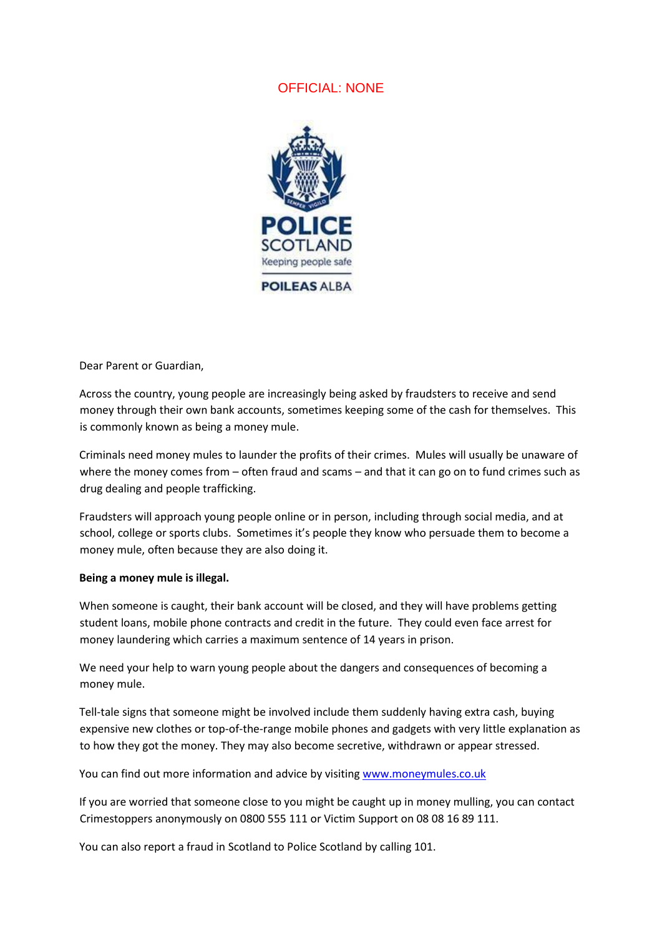## OFFICIAL: NONE



Dear Parent or Guardian,

Across the country, young people are increasingly being asked by fraudsters to receive and send money through their own bank accounts, sometimes keeping some of the cash for themselves. This is commonly known as being a money mule.

Criminals need money mules to launder the profits of their crimes. Mules will usually be unaware of where the money comes from – often fraud and scams – and that it can go on to fund crimes such as drug dealing and people trafficking.

Fraudsters will approach young people online or in person, including through social media, and at school, college or sports clubs. Sometimes it's people they know who persuade them to become a money mule, often because they are also doing it.

## **Being a money mule is illegal.**

When someone is caught, their bank account will be closed, and they will have problems getting student loans, mobile phone contracts and credit in the future. They could even face arrest for money laundering which carries a maximum sentence of 14 years in prison.

We need your help to warn young people about the dangers and consequences of becoming a money mule.

Tell-tale signs that someone might be involved include them suddenly having extra cash, buying expensive new clothes or top-of-the-range mobile phones and gadgets with very little explanation as to how they got the money. They may also become secretive, withdrawn or appear stressed.

You can find out more information and advice by visiting [www.moneymules.co.uk](http://www.moneymules.co.uk/)

If you are worried that someone close to you might be caught up in money mulling, you can contact Crimestoppers anonymously on 0800 555 111 or Victim Support on 08 08 16 89 111.

You can also report a fraud in Scotland to Police Scotland by calling 101.